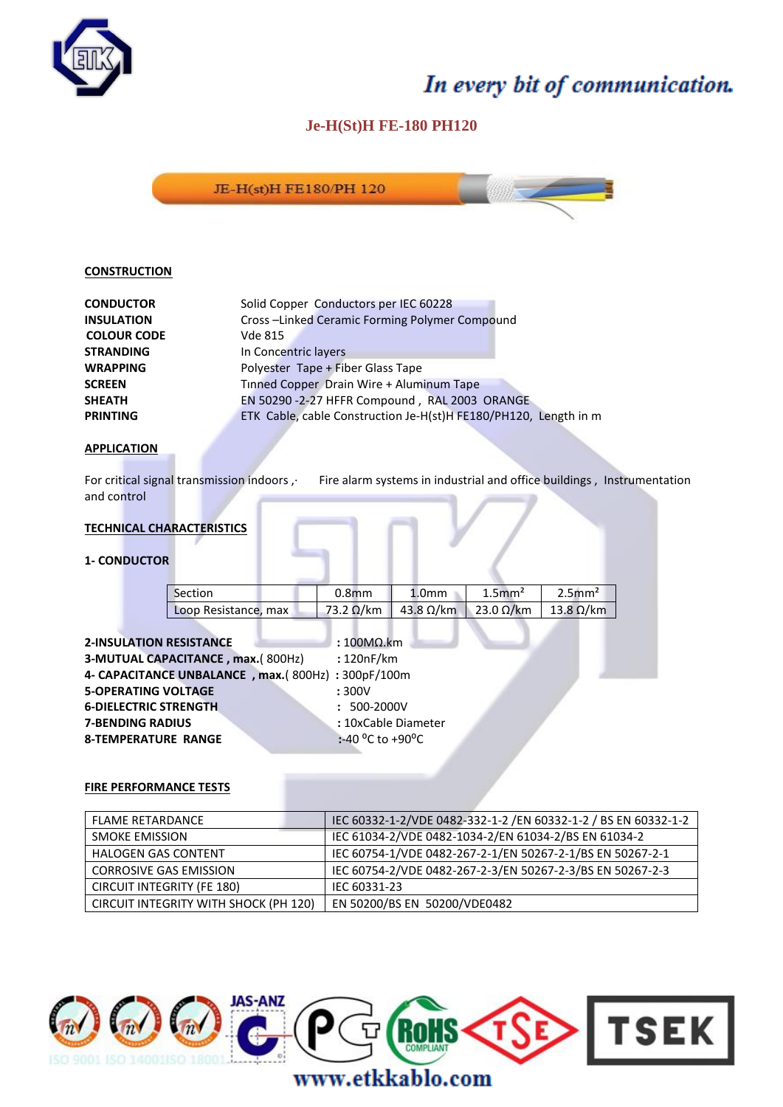

## In every bit of communication.

### **Je-H(St)H FE-180 PH120**



#### **CONSTRUCTION**

| Solid Copper Conductors per IEC 60228                            |
|------------------------------------------------------------------|
| Cross-Linked Ceramic Forming Polymer Compound                    |
| <b>Vde 815</b>                                                   |
| In Concentric layers                                             |
| Polyester Tape + Fiber Glass Tape                                |
| Tinned Copper Drain Wire + Aluminum Tape                         |
| EN 50290 -2-27 HFFR Compound, RAL 2003 ORANGE                    |
| ETK Cable, cable Construction Je-H(st)H FE180/PH120, Length in m |
|                                                                  |

#### **APPLICATION**

For critical signal transmission indoors , Fire alarm systems in industrial and office buildings, Instrumentation and control

#### **TECHNICAL CHARACTERISTICS**

#### **1- CONDUCTOR**

| Section              | 0.8 <sub>mm</sub> | 1.0 <sub>mm</sub>                 | $1.5$ mm <sup>2</sup> | $2.5$ mm <sup>2</sup> |
|----------------------|-------------------|-----------------------------------|-----------------------|-----------------------|
| Loop Resistance, max |                   | 73.2 Ω/km   43.8 Ω/km   23.0 Ω/km |                       | $13.8 \Omega/km$      |

| $:100M$ km                                        |
|---------------------------------------------------|
| :120nF/km                                         |
| 4- CAPACITANCE UNBALANCE, max.(800Hz): 300pF/100m |
| :300V                                             |
| $: 500-2000V$                                     |
| : 10xCable Diameter                               |
| :-40 $^{\circ}$ C to +90 $^{\circ}$ C             |
|                                                   |

#### **FIRE PERFORMANCE TESTS**

| <b>FLAME RETARDANCE</b>               | IEC 60332-1-2/VDE 0482-332-1-2 /EN 60332-1-2 / BS EN 60332-1-2 |
|---------------------------------------|----------------------------------------------------------------|
| <b>SMOKE EMISSION</b>                 | IEC 61034-2/VDE 0482-1034-2/EN 61034-2/BS EN 61034-2           |
| <b>HALOGEN GAS CONTENT</b>            | IEC 60754-1/VDE 0482-267-2-1/EN 50267-2-1/BS EN 50267-2-1      |
| <b>CORROSIVE GAS EMISSION</b>         | IEC 60754-2/VDE 0482-267-2-3/EN 50267-2-3/BS EN 50267-2-3      |
| <b>CIRCUIT INTEGRITY (FE 180)</b>     | IEC 60331-23                                                   |
| CIRCUIT INTEGRITY WITH SHOCK (PH 120) | EN 50200/BS EN 50200/VDE0482                                   |